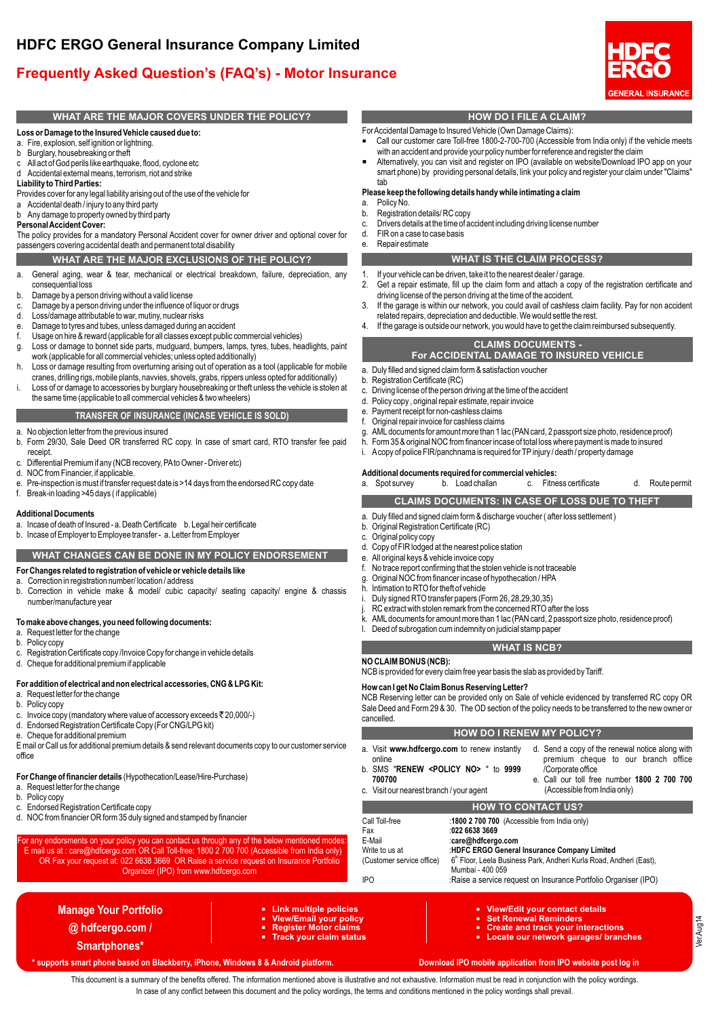**WHAT ARE THE MAJOR COVERS UNDER THE POLICY?**

**Loss or Damage to the Insured Vehicle caused due to:**

c All act of God perils like earthquake, flood, cyclone etc Accidental external means, terrorism, riot and strike

b. Damage by a person driving without a valid license

a. No objection letter from the previous insured

f. Break-in loading >45 days ( if applicable)

d. NOC from Financier, if applicable.

**Additional Documents**

Provides cover for any legal liability arising out of the use of the vehicle for

passengers covering accidental death and permanent total disability

c. Damage by a person driving under the influence of liquor or drugs<br>d. Loss/damage attributable to war mutiny puclear risks Loss/damage attributable to war, mutiny, nuclear risks e. Damage to tyres and tubes, unless damaged during an accident

a. Fire, explosion, self ignition or lightning.<br>b Burglary, housebreaking or theft Burglary, housebreaking or theft

Accidental death / injury to any third party b Any damage to property owned by third party

**Liability to Third Parties:** 

**Personal Accident Cover:**

consequential loss

**WHAT ARE THE MAJOR EXCLUSIONS OF THE POLICY?**

a. General aging, wear & tear, mechanical or electrical breakdown, failure, depreciation, any

g. Loss or damage to bonnet side parts, mudguard, bumpers, lamps, tyres, tubes, headlights, paint

h. Loss or damage resulting from overturning arising out of operation as a tool (applicable for mobile cranes, drilling rigs, mobile plants, navvies, shovels, grabs, rippers unless opted for additionally) Loss of or damage to accessories by burglary housebreaking or theft unless the vehicle is stolen at

**TRANSFER OF INSURANCE (INCASE VEHICLE IS SOLD)**

b. Form 29/30, Sale Deed OR transferred RC copy. In case of smart card, RTO transfer fee paid

e. Pre-inspection is must if transfer request date is >14 days from the endorsed RC copy date<br>f Rreak-in loading >45 days (if annlicable)

**WHAT CHANGES CAN BE DONE IN MY POLICY ENDORSEMENT**

b. Correction in vehicle make & model/ cubic capacity/ seating capacity/ engine & chassis

f. Usage on hire & reward (applicable for all classes except public commercial vehicles)

work (applicable for all commercial vehicles; unless opted additionally)

the same time (applicable to all commercial vehicles & two wheelers)

**For Changes related to registration of vehicle or vehicle details like**

a. Incase of death of Insured - a. Death Certificate b. Legal heir certificate b. Incase of Employer to Employee transfer - a. Letter from Employer

c. Differential Premium if any (NCB recovery, PAto Owner - Driver etc)

Registration Certificate copy /Invoice Copy for change in vehicle details

**For addition of electrical and non electrical accessories, CNG & LPG Kit:**

a. Correction in registration number/ location / address

**To make above changes, you need following documents:**

number/manufacture year

a. Request letter for the change

a. Request letter for the change<br>b Policy copy Policy copy

d. Cheque for additional premium if applicable

b. Policy copy

receipt.

The policy provides for a mandatory Personal Accident cover for owner driver and optional cover for

# **Frequently Asked Question's (FAQ's) - Motor Insurance**



## **HOW DO I FILE A CLAIM?**

- 
- For Accidental Damage to Insured Vehicle (Own Damage Claims):<br>■ Call our customer care Toll-free 1800-2-700-700 (Accessible from India only) if the vehicle meets
- with an accident and provide your policy number for reference and register the claim<br>Alternatively, you can visit and register on IPO (available on website/Download IPO app on your smart phone) by providing personal details, link your policy and register your claim under "Claims" tab

## **Please keep the following details handy while intimating a claim**

- a. Policy No.
- b. Registration details/ RC copy<br>c. Drivers details at the time of a
- c. Drivers details at the time of accident including driving license number
- FIR on a case to case basis e. Repair estimate
	-

## **WHAT IS THE CLAIM PROCESS?**

- 1. If your vehicle can be driven, take it to the nearest dealer / garage.<br>2. Get a repair estimate, fill up the claim form and attach a copy 2. Get a repair estimate, fill up the claim form and attach a copy of the registration certificate and
- driving license of the person driving at the time of the accident. 3. If the garage is within our network, you could avail of cashless claim facility. Pay for non accident
- related repairs, depreciation and deductible. We would settle the rest.
- 4. If the garage is outside our network, you would have to get the claim reimbursed subsequently.

## **CLAIMS DOCUMENTS - For ACCIDENTAL DAMAGE TO INSURED VEHICLE**

- a. Duly filled and signed claim form & satisfaction voucher
- b. Registration Certificate (RC)
- c. Driving license of the person driving at the time of the accident<br>d. Policy copy, original repair estimate, repair invoice
- Policy copy, original repair estimate, repair invoice
- e. Payment receipt for non-cashless claims
- f. Original repair invoice for cashless claims
- g. AMLdocuments for amount more than 1 lac (PAN card, 2 passport size photo, residence proof)
- h. Form 35 & original NOC from financer incase of total loss where payment is made to insured i. A copy of police FIR/panchnama is required for TP injury / death / property damage

**Additional documents required for commercial vehicles:** c. Fitness certificate d. Route permit

**CLAIMS DOCUMENTS: IN CASE OF LOSS DUE TO THEFT**

- a. Duly filled and signed claim form & discharge voucher ( after loss settlement )
- b. Original Registration Certificate (RC)
- c. Original policy copy
- d. Copy of FIR lodged at the nearest police station
- e. All original keys & vehicle invoice copy
- No trace report confirming that the stolen vehicle is not traceable
- n The Trumation of the United States of hypothecation / HPA<br>h. Intimation to RTO for the ft of vehicle
- h. Intimation to RTO for theft of vehicle
- Duly signed RTO transfer papers (Form 26, 28, 29, 30, 35)
- 
- j. RC extract with stolen remark from the concerned RTO after the loss<br>k AML documents for amount more than 1 lac (PAN card 2 nassport sig
- k. AML documents for amount more than 1 lac (PAN card, 2 passport size photo, residence proof)<br>| Deed of subrogation cum indemnity on judicial stamp paper l. Deed of subrogation cum indemnity on judicial stamp paper

## **WHAT IS NCB?**

**NO CLAIM BONUS (NCB):**

NCB is provided for every claim free year basis the slab as provided by Tariff.

**How can I get No Claim Bonus Reserving Letter?**

NCB Reserving letter can be provided only on Sale of vehicle evidenced by transferred RC copy OR Sale Deed and Form 29 & 30. The OD section of the policy needs to be transferred to the new owner or cancelled.

| c. Invoice copy (mandatory where value of accessory exceeds $\overline{\xi}$ 20,000/-)<br>d. Endorsed Registration Certificate Copy (For CNG/LPG kit)                                                                                                                                                                                                                                                           |                                                                                                                   | cancelled.                                                                                                                    |                                                                                                          | <u>Odie Deed and Form 29 &amp; JO. The OD Section of the policy heeds to be transferred to the hely Owner Or</u>                                                                                   |           |
|-----------------------------------------------------------------------------------------------------------------------------------------------------------------------------------------------------------------------------------------------------------------------------------------------------------------------------------------------------------------------------------------------------------------|-------------------------------------------------------------------------------------------------------------------|-------------------------------------------------------------------------------------------------------------------------------|----------------------------------------------------------------------------------------------------------|----------------------------------------------------------------------------------------------------------------------------------------------------------------------------------------------------|-----------|
| e. Cheque for additional premium                                                                                                                                                                                                                                                                                                                                                                                |                                                                                                                   | <b>HOW DO I RENEW MY POLICY?</b>                                                                                              |                                                                                                          |                                                                                                                                                                                                    |           |
| E mail or Call us for additional premium details & send relevant documents copy to our customer service<br>office                                                                                                                                                                                                                                                                                               |                                                                                                                   | a. Visit www.hdfcergo.com to renew instantly<br>online                                                                        |                                                                                                          | d. Send a copy of the renewal notice along with<br>premium cheque to our branch office                                                                                                             |           |
| For Change of financier details (Hypothecation/Lease/Hire-Purchase)<br>a. Request letter for the change<br>b. Policy copy                                                                                                                                                                                                                                                                                       |                                                                                                                   | b. SMS "RENEW <policy no=""> " to 9999<br/>/Corporate office<br/>700700<br/>c. Visit our nearest branch / your agent</policy> | e. Call our toll free number 1800 2 700 700<br>(Accessible from India only)                              |                                                                                                                                                                                                    |           |
| c. Endorsed Registration Certificate copy                                                                                                                                                                                                                                                                                                                                                                       |                                                                                                                   |                                                                                                                               |                                                                                                          | <b>HOW TO CONTACT US?</b>                                                                                                                                                                          |           |
| d. NOC from financier OR form 35 duly signed and stamped by financier<br>For any endorsments on your policy you can contact us through any of the below mentioned modes:<br>E mail us at : care@hdfcergo.com OR Call Toll-free: 1800 2 700 700 (Accessible from India only)<br>OR Fax your request at: 022 6638 3669 OR Raise a service request on Insurance Portfolio<br>Organizer (IPO) from www.hdfcergo.com |                                                                                                                   | Call Toll-free<br>Fax<br>E-Mail<br>Write to us at<br>(Customer service office)<br>IP <sub>0</sub>                             | :1800 2 700 700 (Accessible from India only)<br>:022 6638 3669<br>:care@hdfcergo.com<br>Mumbai - 400 059 | :HDFC ERGO General Insurance Company Limited<br>6 <sup>th</sup> Floor, Leela Business Park, Andheri Kurla Road, Andheri (East),<br>:Raise a service request on Insurance Portfolio Organiser (IPO) |           |
| <b>Manage Your Portfolio</b><br>@ hdfcergo.com /<br>Smartphones*                                                                                                                                                                                                                                                                                                                                                | • Link multiple policies<br>• View/Email your policy<br><b>Register Motor claims</b><br>" Track your claim status |                                                                                                                               |                                                                                                          | • View/Edit your contact details<br>• Set Renewal Reminders<br>• Create and track your interactions<br>• Locate our network garages/ branches                                                      | Ver.Aug14 |
| * supports smart phone based on Blackberry, iPhone, Windows 8 & Android platform.                                                                                                                                                                                                                                                                                                                               |                                                                                                                   |                                                                                                                               |                                                                                                          | Download IPO mobile application from IPO website post log in                                                                                                                                       |           |

This document is a summary of the benefits offered. The information mentioned above is illustrative and not exhaustive. Information must be read in conjunction with the policy wordings. In case of any conflict between this document and the policy wordings, the terms and conditions mentioned in the policy wordings shall prevail.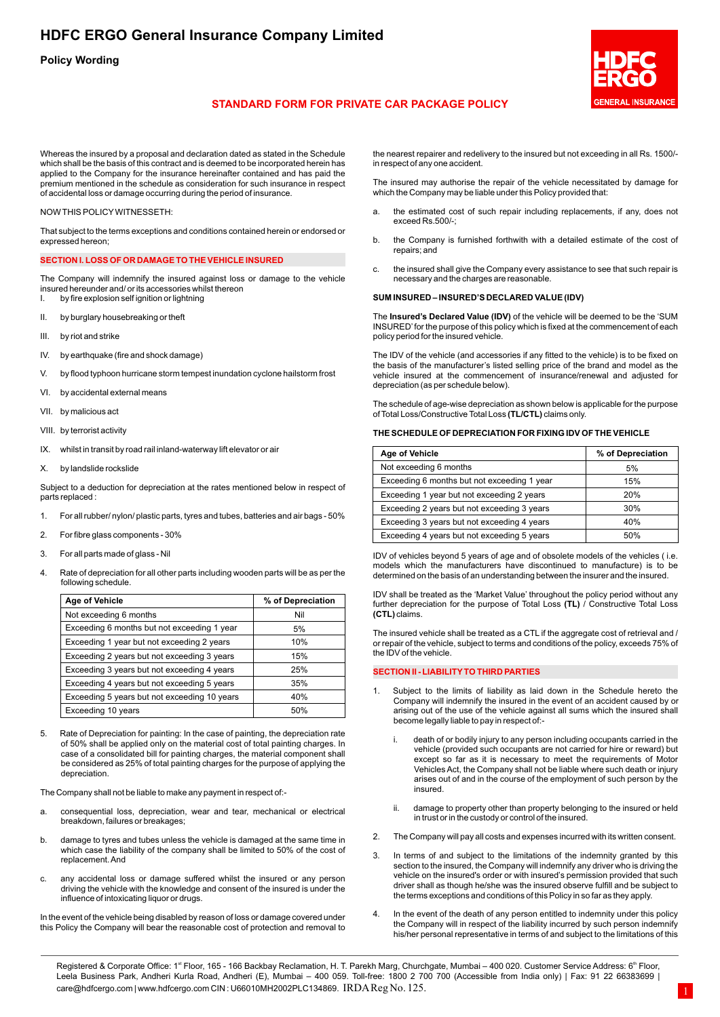**Policy Wording**



## **STANDARD FORM FOR PRIVATE CAR PACKAGE POLICY**

Whereas the insured by a proposal and declaration dated as stated in the Schedule which shall be the basis of this contract and is deemed to be incorporated herein has applied to the Company for the insurance hereinafter contained and has paid the premium mentioned in the schedule as consideration for such insurance in respect of accidental loss or damage occurring during the period of insurance.

NOW THIS POLICYWITNESSETH:

That subject to the terms exceptions and conditions contained herein or endorsed or expressed hereon;

#### **SECTION I. LOSS OF OR DAMAGE TO THE VEHICLE INSURED**

The Company will indemnify the insured against loss or damage to the vehicle insured hereunder and/ or its accessories whilst thereon I. by fire explosion self ignition or lightning

- II. by burglary housebreaking or theft
- III. by riot and strike
- IV. by earthquake (fire and shock damage)
- V. by flood typhoon hurricane storm tempest inundation cyclone hailstorm frost
- VI. by accidental external means
- VII. by malicious act
- VIII. by terrorist activity
- IX. whilst in transit by road rail inland-waterway lift elevator or air
- X. by landslide rockslide

Subject to a deduction for depreciation at the rates mentioned below in respect of parts replaced :

- 1. For all rubber/ nylon/ plastic parts, tyres and tubes, batteries and air bags 50%
- 2. For fibre glass components 30%
- 3. For all parts made of glass Nil
- 4. Rate of depreciation for all other parts including wooden parts will be as per the following schedule.

| Age of Vehicle                               | % of Depreciation |
|----------------------------------------------|-------------------|
| Not exceeding 6 months                       | Nil               |
| Exceeding 6 months but not exceeding 1 year  | 5%                |
| Exceeding 1 year but not exceeding 2 years   | 10%               |
| Exceeding 2 years but not exceeding 3 years  | 15%               |
| Exceeding 3 years but not exceeding 4 years  | 25%               |
| Exceeding 4 years but not exceeding 5 years  | 35%               |
| Exceeding 5 years but not exceeding 10 years | 40%               |
| Exceeding 10 years                           | 50%               |

5. Rate of Depreciation for painting: In the case of painting, the depreciation rate of 50% shall be applied only on the material cost of total painting charges. In case of a consolidated bill for painting charges, the material component shall be considered as 25% of total painting charges for the purpose of applying the depreciation.

The Company shall not be liable to make any payment in respect of:-

- a. consequential loss, depreciation, wear and tear, mechanical or electrical breakdown, failures or breakages;
- b. damage to tyres and tubes unless the vehicle is damaged at the same time in which case the liability of the company shall be limited to 50% of the cost of replacement. And
- c. any accidental loss or damage suffered whilst the insured or any person driving the vehicle with the knowledge and consent of the insured is under the influence of intoxicating liquor or drugs.

In the event of the vehicle being disabled by reason of loss or damage covered under this Policy the Company will bear the reasonable cost of protection and removal to

the nearest repairer and redelivery to the insured but not exceeding in all Rs. 1500/ in respect of any one accident.

The insured may authorise the repair of the vehicle necessitated by damage for which the Company may be liable under this Policy provided that:

- a. the estimated cost of such repair including replacements, if any, does not exceed Rs.500/-;
- b. the Company is furnished forthwith with a detailed estimate of the cost of repairs; and
- c. the insured shall give the Company every assistance to see that such repair is necessary and the charges are reasonable.

## **SUM INSURED – INSURED'S DECLARED VALUE (IDV)**

The **Insured's Declared Value (IDV)** of the vehicle will be deemed to be the 'SUM INSURED' for the purpose of this policy which is fixed at the commencement of each policy period for the insured vehicle.

The IDV of the vehicle (and accessories if any fitted to the vehicle) is to be fixed on the basis of the manufacturer's listed selling price of the brand and model as the vehicle insured at the commencement of insurance/renewal and adjusted for depreciation (as per schedule below).

The schedule of age-wise depreciation as shown below is applicable for the purpose of Total Loss/Constructive Total Loss **(TL/CTL)** claims only.

**THE SCHEDULE OF DEPRECIATION FOR FIXING IDV OF THE VEHICLE**

| Age of Vehicle                              | % of Depreciation |
|---------------------------------------------|-------------------|
| Not exceeding 6 months                      | 5%                |
| Exceeding 6 months but not exceeding 1 year | 15%               |
| Exceeding 1 year but not exceeding 2 years  | 20%               |
| Exceeding 2 years but not exceeding 3 years | 30%               |
| Exceeding 3 years but not exceeding 4 years | 40%               |
| Exceeding 4 years but not exceeding 5 years | 50%               |

IDV of vehicles beyond 5 years of age and of obsolete models of the vehicles ( i.e. models which the manufacturers have discontinued to manufacture) is to be determined on the basis of an understanding between the insurer and the insured.

IDV shall be treated as the 'Market Value' throughout the policy period without any further depreciation for the purpose of Total Loss **(TL)** / Constructive Total Loss **(CTL)** claims.

The insured vehicle shall be treated as a CTL if the aggregate cost of retrieval and / or repair of the vehicle, subject to terms and conditions of the policy, exceeds 75% of the IDV of the vehicle.

## **SECTION II - LIABILITYTO THIRD PARTIES**

- 1. Subject to the limits of liability as laid down in the Schedule hereto the Company will indemnify the insured in the event of an accident caused by or arising out of the use of the vehicle against all sums which the insured shall become legally liable to pay in respect of:
	- i. death of or bodily injury to any person including occupants carried in the vehicle (provided such occupants are not carried for hire or reward) but except so far as it is necessary to meet the requirements of Motor Vehicles Act, the Company shall not be liable where such death or injury arises out of and in the course of the employment of such person by the insured.
	- ii. damage to property other than property belonging to the insured or held in trust or in the custody or control of the insured.
- 2. The Company will pay all costs and expenses incurred with its written consent.
- 3. In terms of and subject to the limitations of the indemnity granted by this section to the insured, the Company will indemnify any driver who is driving the vehicle on the insured's order or with insured's permission provided that such driver shall as though he/she was the insured observe fulfill and be subject to the terms exceptions and conditions of this Policy in so far as they apply.
- In the event of the death of any person entitled to indemnity under this policy the Company will in respect of the liability incurred by such person indemnify his/her personal representative in terms of and subject to the limitations of this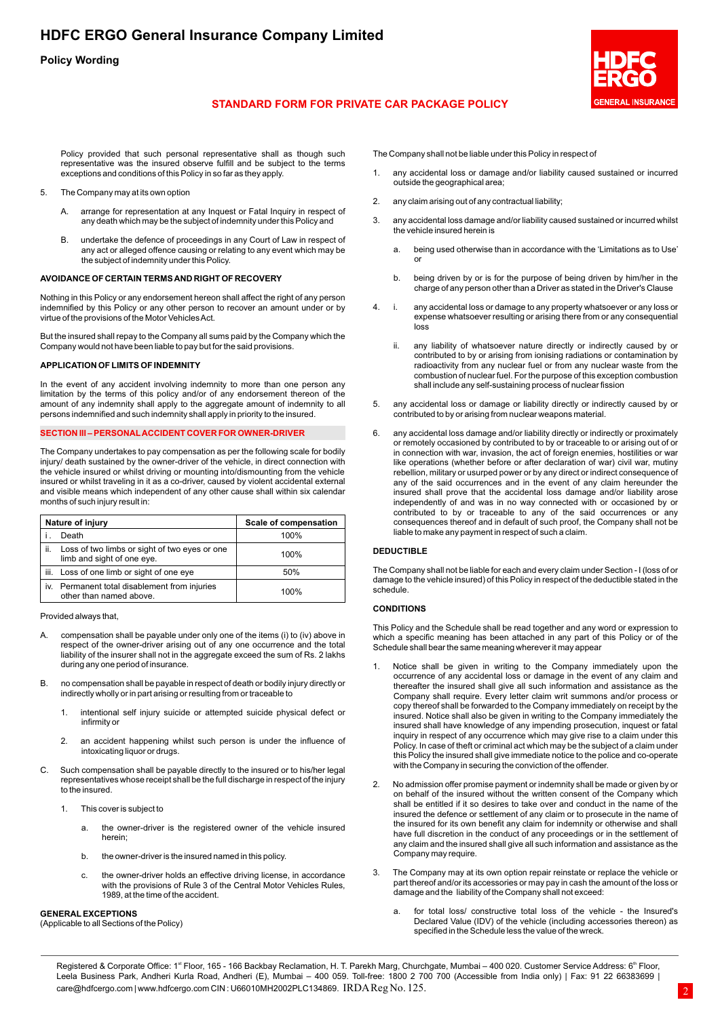**Policy Wording**



## **STANDARD FORM FOR PRIVATE CAR PACKAGE POLICY**

Policy provided that such personal representative shall as though such representative was the insured observe fulfill and be subject to the terms exceptions and conditions of this Policy in so far as they apply.

- 5. The Company may at its own option
	- A. arrange for representation at any Inquest or Fatal Inquiry in respect of any death which may be the subject of indemnity under this Policy and
	- B. undertake the defence of proceedings in any Court of Law in respect of any act or alleged offence causing or relating to any event which may be the subject of indemnity under this Policy.

## **AVOIDANCE OF CERTAIN TERMS AND RIGHT OF RECOVERY**

Nothing in this Policy or any endorsement hereon shall affect the right of any person indemnified by this Policy or any other person to recover an amount under or by virtue of the provisions of the Motor Vehicles Act.

But the insured shall repay to the Company all sums paid by the Company which the Company would not have been liable to pay but for the said provisions.

#### **APPLICATION OF LIMITS OF INDEMNITY**

In the event of any accident involving indemnity to more than one person any limitation by the terms of this policy and/or of any endorsement thereon of the amount of any indemnity shall apply to the aggregate amount of indemnity to all persons indemnified and such indemnity shall apply in priority to the insured.

## **SECTION III – PERSONALACCIDENT COVER FOR OWNER-DRIVER**

The Company undertakes to pay compensation as per the following scale for bodily injury/ death sustained by the owner-driver of the vehicle, in direct connection with the vehicle insured or whilst driving or mounting into/dismounting from the vehicle insured or whilst traveling in it as a co-driver, caused by violent accidental external and visible means which independent of any other cause shall within six calendar months of such injury result in:

| Nature of injury                                                                   | Scale of compensation |
|------------------------------------------------------------------------------------|-----------------------|
| Death                                                                              | 100%                  |
| ii.<br>Loss of two limbs or sight of two eyes or one<br>limb and sight of one eye. | 100%                  |
| iii.<br>Loss of one limb or sight of one eye                                       | 50%                   |
| iv. Permanent total disablement from injuries<br>other than named above.           | 100%                  |

Provided always that,

- A. compensation shall be payable under only one of the items (i) to (iv) above in respect of the owner-driver arising out of any one occurrence and the total liability of the insurer shall not in the aggregate exceed the sum of Rs. 2 lakhs during any one period of insurance.
- B. no compensation shall be payable in respect of death or bodily injury directly or indirectly wholly or in part arising or resulting from or traceable to
	- 1. intentional self injury suicide or attempted suicide physical defect or infirmity or
	- 2. an accident happening whilst such person is under the influence of intoxicating liquor or drugs.
- C. Such compensation shall be payable directly to the insured or to his/her legal representatives whose receipt shall be the full discharge in respect of the injury to the insured.
	- 1. This cover is subject to
		- a. the owner-driver is the registered owner of the vehicle insured herein;
		- b. the owner-driver is the insured named in this policy.
		- c. the owner-driver holds an effective driving license, in accordance with the provisions of Rule 3 of the Central Motor Vehicles Rules, 1989, at the time of the accident.

#### **GENERALEXCEPTIONS**

(Applicable to all Sections of the Policy)

The Company shall not be liable under this Policy in respect of

- 1. any accidental loss or damage and/or liability caused sustained or incurred outside the geographical area;
- 2. any claim arising out of any contractual liability;
- 3. any accidental loss damage and/or liability caused sustained or incurred whilst the vehicle insured herein is
	- a. being used otherwise than in accordance with the 'Limitations as to Use' or
	- b. being driven by or is for the purpose of being driven by him/her in the charge of any person other than a Driver as stated in the Driver's Clause
- 4. i. any accidental loss or damage to any property whatsoever or any loss or expense whatsoever resulting or arising there from or any consequential loss
	- ii. any liability of whatsoever nature directly or indirectly caused by or contributed to by or arising from ionising radiations or contamination by radioactivity from any nuclear fuel or from any nuclear waste from the combustion of nuclear fuel. For the purpose of this exception combustion shall include any self-sustaining process of nuclear fission
- 5. any accidental loss or damage or liability directly or indirectly caused by or contributed to by or arising from nuclear weapons material.
- 6. any accidental loss damage and/or liability directly or indirectly or proximately or remotely occasioned by contributed to by or traceable to or arising out of or in connection with war, invasion, the act of foreign enemies, hostilities or war like operations (whether before or after declaration of war) civil war, mutiny rebellion, military or usurped power or by any direct or indirect consequence of any of the said occurrences and in the event of any claim hereunder the insured shall prove that the accidental loss damage and/or liability arose independently of and was in no way connected with or occasioned by or contributed to by or traceable to any of the said occurrences or any consequences thereof and in default of such proof, the Company shall not be liable to make any payment in respect of such a claim.

#### **DEDUCTIBLE**

The Company shall not be liable for each and every claim under Section - I (loss of or damage to the vehicle insured) of this Policy in respect of the deductible stated in the schedule.

## **CONDITIONS**

This Policy and the Schedule shall be read together and any word or expression to which a specific meaning has been attached in any part of this Policy or of the Schedule shall bear the same meaning wherever it may appear

- Notice shall be given in writing to the Company immediately upon the occurrence of any accidental loss or damage in the event of any claim and thereafter the insured shall give all such information and assistance as the Company shall require. Every letter claim writ summons and/or process or copy thereof shall be forwarded to the Company immediately on receipt by the insured. Notice shall also be given in writing to the Company immediately the insured shall have knowledge of any impending prosecution, inquest or fatal inquiry in respect of any occurrence which may give rise to a claim under this Policy. In case of theft or criminal act which may be the subject of a claim under this Policy the insured shall give immediate notice to the police and co-operate with the Company in securing the conviction of the offender.
- 2. No admission offer promise payment or indemnity shall be made or given by or on behalf of the insured without the written consent of the Company which shall be entitled if it so desires to take over and conduct in the name of the insured the defence or settlement of any claim or to prosecute in the name of the insured for its own benefit any claim for indemnity or otherwise and shall have full discretion in the conduct of any proceedings or in the settlement of any claim and the insured shall give all such information and assistance as the Company may require.
- The Company may at its own option repair reinstate or replace the vehicle or part thereof and/or its accessories or may pay in cash the amount of the loss or damage and the liability of the Company shall not exceed:
	- a. for total loss/ constructive total loss of the vehicle the Insured's Declared Value (IDV) of the vehicle (including accessories thereon) as specified in the Schedule less the value of the wreck.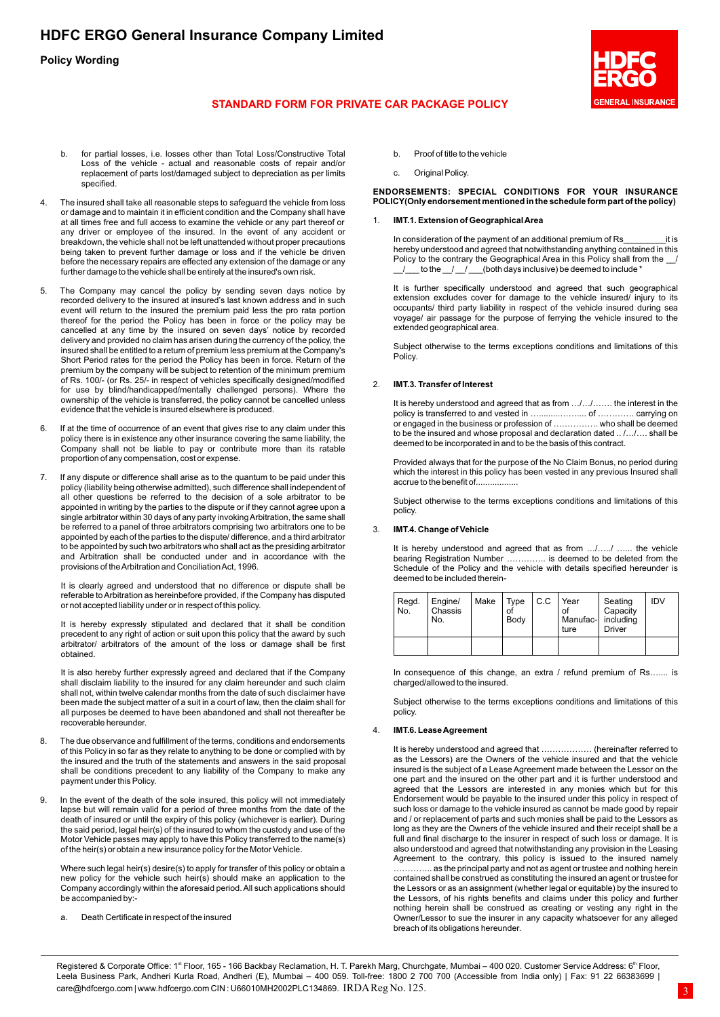**Policy Wording**



## **STANDARD FORM FOR PRIVATE CAR PACKAGE POLICY**

- b. for partial losses, i.e. losses other than Total Loss/Constructive Total Loss of the vehicle - actual and reasonable costs of repair and/or replacement of parts lost/damaged subject to depreciation as per limits specified.
- 4. The insured shall take all reasonable steps to safeguard the vehicle from loss or damage and to maintain it in efficient condition and the Company shall have at all times free and full access to examine the vehicle or any part thereof or any driver or employee of the insured. In the event of any accident or breakdown, the vehicle shall not be left unattended without proper precautions being taken to prevent further damage or loss and if the vehicle be driven before the necessary repairs are effected any extension of the damage or any further damage to the vehicle shall be entirely at the insured's own risk.
- 5. The Company may cancel the policy by sending seven days notice by recorded delivery to the insured at insured's last known address and in such event will return to the insured the premium paid less the pro rata portion thereof for the period the Policy has been in force or the policy may be cancelled at any time by the insured on seven days' notice by recorded delivery and provided no claim has arisen during the currency of the policy, the insured shall be entitled to a return of premium less premium at the Company's Short Period rates for the period the Policy has been in force. Return of the premium by the company will be subject to retention of the minimum premium of Rs. 100/- (or Rs. 25/- in respect of vehicles specifically designed/modified for use by blind/handicapped/mentally challenged persons). Where the ownership of the vehicle is transferred, the policy cannot be cancelled unless evidence that the vehicle is insured elsewhere is produced.
- 6. If at the time of occurrence of an event that gives rise to any claim under this policy there is in existence any other insurance covering the same liability, the Company shall not be liable to pay or contribute more than its ratable proportion of any compensation, cost or expense.
- 7. If any dispute or difference shall arise as to the quantum to be paid under this policy (liability being otherwise admitted), such difference shall independent of all other questions be referred to the decision of a sole arbitrator to be appointed in writing by the parties to the dispute or if they cannot agree upon a single arbitrator within 30 days of any party invoking Arbitration, the same shall be referred to a panel of three arbitrators comprising two arbitrators one to be appointed by each of the parties to the dispute/ difference, and a third arbitrator to be appointed by such two arbitrators who shall act as the presiding arbitrator and Arbitration shall be conducted under and in accordance with the provisions of the Arbitration and Conciliation Act, 1996.

It is clearly agreed and understood that no difference or dispute shall be referable to Arbitration as hereinbefore provided, if the Company has disputed or not accepted liability under or in respect of this policy.

It is hereby expressly stipulated and declared that it shall be condition precedent to any right of action or suit upon this policy that the award by such arbitrator/ arbitrators of the amount of the loss or damage shall be first obtained.

It is also hereby further expressly agreed and declared that if the Company shall disclaim liability to the insured for any claim hereunder and such claim shall not, within twelve calendar months from the date of such disclaimer have been made the subject matter of a suit in a court of law, then the claim shall for all purposes be deemed to have been abandoned and shall not thereafter be recoverable hereunder.

- 8. The due observance and fulfillment of the terms, conditions and endorsements of this Policy in so far as they relate to anything to be done or complied with by the insured and the truth of the statements and answers in the said proposal shall be conditions precedent to any liability of the Company to make any payment under this Policy.
- 9. In the event of the death of the sole insured, this policy will not immediately lapse but will remain valid for a period of three months from the date of the death of insured or until the expiry of this policy (whichever is earlier). During the said period, legal heir(s) of the insured to whom the custody and use of the Motor Vehicle passes may apply to have this Policy transferred to the name(s) of the heir(s) or obtain a new insurance policy for the Motor Vehicle.

Where such legal heir(s) desire(s) to apply for transfer of this policy or obtain a new policy for the vehicle such heir(s) should make an application to the Company accordingly within the aforesaid period. All such applications should be accompanied by:

a. Death Certificate in respect of the insured

- b. Proof of title to the vehicle
- c. Original Policy

## **ENDORSEMENTS: SPECIAL CONDITIONS FOR YOUR INSURANCE POLICY(Only endorsement mentioned in the schedule form part of the policy)**

## 1. **IMT.1. Extension of Geographical Area**

In consideration of the payment of an additional premium of Rs\_\_\_\_\_\_\_\_\_it is hereby understood and agreed that notwithstanding anything contained in this Policy to the contrary the Geographical Area in this Policy shall from the \_\_/  $\_$  /  $\_$  to the  $\_$  /  $\_$  /  $\_$  (both days inclusive) be deemed to include  $^*$ 

It is further specifically understood and agreed that such geographical extension excludes cover for damage to the vehicle insured/ injury to its occupants/ third party liability in respect of the vehicle insured during sea voyage/ air passage for the purpose of ferrying the vehicle insured to the extended geographical area.

Subject otherwise to the terms exceptions conditions and limitations of this Policy.

#### 2. **IMT.3. Transfer of Interest**

It is hereby understood and agreed that as from …/…/……. the interest in the policy is transferred to and vested in ............................... carrying on or engaged in the business or profession of ……………. who shall be deemed to be the insured and whose proposal and declaration dated .. /…/…. shall be deemed to be incorporated in and to be the basis of this contract.

Provided always that for the purpose of the No Claim Bonus, no period during which the interest in this policy has been vested in any previous Insured shall accrue to the benefit of..................

Subject otherwise to the terms exceptions conditions and limitations of this policy.

## 3. **IMT.4. Change of Vehicle**

It is hereby understood and agreed that as from …/…../ …... the vehicle bearing Registration Number ………….. is deemed to be deleted from the Schedule of the Policy and the vehicle with details specified hereunder is deemed to be included therein-

| Regd.<br>No. | Engine/<br>Chassis<br>No. | Make | Type<br>оt<br>Body | C.C | Year<br>of<br>Manufac-<br>ture | Seating<br>Capacity<br>including<br>Driver | IDV |
|--------------|---------------------------|------|--------------------|-----|--------------------------------|--------------------------------------------|-----|
|              |                           |      |                    |     |                                |                                            |     |

In consequence of this change, an extra / refund premium of Rs…... is charged/allowed to the insured.

Subject otherwise to the terms exceptions conditions and limitations of this policy.

## 4. **IMT.6. Lease Agreement**

It is hereby understood and agreed that ……………… (hereinafter referred to as the Lessors) are the Owners of the vehicle insured and that the vehicle insured is the subject of a Lease Agreement made between the Lessor on the one part and the insured on the other part and it is further understood and agreed that the Lessors are interested in any monies which but for this Endorsement would be payable to the insured under this policy in respect of such loss or damage to the vehicle insured as cannot be made good by repair and / or replacement of parts and such monies shall be paid to the Lessors as long as they are the Owners of the vehicle insured and their receipt shall be a full and final discharge to the insurer in respect of such loss or damage. It is also understood and agreed that notwithstanding any provision in the Leasing Agreement to the contrary, this policy is issued to the insured namely  $\ldots$  as the principal party and not as agent or trustee and nothing herein contained shall be construed as constituting the insured an agent or trustee for the Lessors or as an assignment (whether legal or equitable) by the insured to the Lessors, of his rights benefits and claims under this policy and further nothing herein shall be construed as creating or vesting any right in the Owner/Lessor to sue the insurer in any capacity whatsoever for any alleged breach of its obligations hereunder.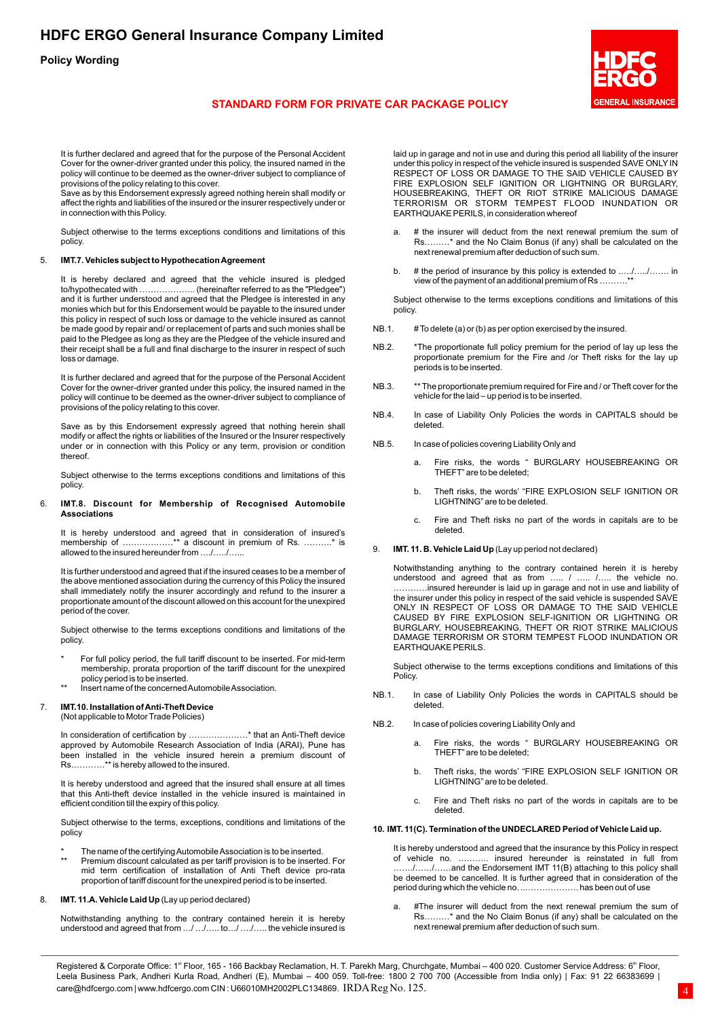**Policy Wording**



## **STANDARD FORM FOR PRIVATE CAR PACKAGE POLICY**

It is further declared and agreed that for the purpose of the Personal Accident Cover for the owner-driver granted under this policy, the insured named in the policy will continue to be deemed as the owner-driver subject to compliance of

provisions of the policy relating to this cover. Save as by this Endorsement expressly agreed nothing herein shall modify or affect the rights and liabilities of the insured or the insurer respectively under or in connection with this Policy.

Subject otherwise to the terms exceptions conditions and limitations of this policy.

## 5. **IMT.7. Vehicles subject to Hypothecation Agreement**

It is hereby declared and agreed that the vehicle insured is pledged to/hypothecated with ……………….. (hereinafter referred to as the "Pledgee") and it is further understood and agreed that the Pledgee is interested in any monies which but for this Endorsement would be payable to the insured under this policy in respect of such loss or damage to the vehicle insured as cannot be made good by repair and/ or replacement of parts and such monies shall be paid to the Pledgee as long as they are the Pledgee of the vehicle insured and their receipt shall be a full and final discharge to the insurer in respect of such loss or damage.

It is further declared and agreed that for the purpose of the Personal Accident Cover for the owner-driver granted under this policy, the insured named in the policy will continue to be deemed as the owner-driver subject to compliance of provisions of the policy relating to this cover.

Save as by this Endorsement expressly agreed that nothing herein shall modify or affect the rights or liabilities of the Insured or the Insurer respectively under or in connection with this Policy or any term, provision or condition thereof.

Subject otherwise to the terms exceptions conditions and limitations of this policy.

#### 6. **IMT.8. Discount for Membership of Recognised Automobile Associations**

It is hereby understood and agreed that in consideration of insured's membership of ………………\*\* a discount in premium of Rs. ……….\* is allowed to the insured hereunder from …./…../…...

It is further understood and agreed that if the insured ceases to be a member of the above mentioned association during the currency of this Policy the insured shall immediately notify the insurer accordingly and refund to the insurer a proportionate amount of the discount allowed on this account for the unexpired period of the cover.

Subject otherwise to the terms exceptions conditions and limitations of the policy.

- For full policy period, the full tariff discount to be inserted. For mid-term membership, prorata proportion of the tariff discount for the unexpired policy period is to be inserted.
- Insert name of the concerned Automobile Association.

## 7. **IMT.10. Installation of Anti-Theft Device**

(Not applicable to Motor Trade Policies)

In consideration of certification by …………………\* that an Anti-Theft device approved by Automobile Research Association of India (ARAI), Pune has been installed in the vehicle insured herein a premium discount of Rs…………\*\* is hereby allowed to the insured.

It is hereby understood and agreed that the insured shall ensure at all times that this Anti-theft device installed in the vehicle insured is maintained in efficient condition till the expiry of this policy.

Subject otherwise to the terms, exceptions, conditions and limitations of the policy

- \* The name of the certifying Automobile Association is to be inserted.<br>\*\* Premium discount actual to deep part with maximum is to be inserted.
- Premium discount calculated as per tariff provision is to be inserted. For mid term certification of installation of Anti Theft device pro-rata proportion of tariff discount for the unexpired period is to be inserted.

## 8. **IMT. 11.A. Vehicle Laid Up** (Lay up period declared)

Notwithstanding anything to the contrary contained herein it is hereby understood and agreed that from …/ …/….. to…/ …./….. the vehicle insured is laid up in garage and not in use and during this period all liability of the insurer under this policy in respect of the vehicle insured is suspended SAVE ONLY IN RESPECT OF LOSS OR DAMAGE TO THE SAID VEHICLE CAUSED BY FIRE EXPLOSION SELF IGNITION OR LIGHTNING OR BURGLARY, HOUSEBREAKING, THEFT OR RIOT STRIKE MALICIOUS DAMAGE TERRORISM OR STORM TEMPEST FLOOD INUNDATION OR EARTHQUAKE PERILS, in consideration whereof

- a. # the insurer will deduct from the next renewal premium the sum of Rs………\* and the No Claim Bonus (if any) shall be calculated on the next renewal premium after deduction of such sum.
- b. # the period of insurance by this policy is extended to .…./…../……. in view of the payment of an additional premium of Rs ........

Subject otherwise to the terms exceptions conditions and limitations of this policy.

- NB.1. # To delete (a) or (b) as per option exercised by the insured.
- NB.2. \*The proportionate full policy premium for the period of lay up less the proportionate premium for the Fire and /or Theft risks for the lay up periods is to be inserted.
- NB.3. \*\* The proportionate premium required for Fire and / or Theft cover for the vehicle for the laid – up period is to be inserted.
- NB.4. In case of Liability Only Policies the words in CAPITALS should be deleted.
- NB.5. In case of policies covering Liability Only and
	- a. Fire risks, the words " BURGLARY HOUSEBREAKING OR THEFT" are to be deleted;
	- b. Theft risks, the words' "FIRE EXPLOSION SELF IGNITION OR LIGHTNING" are to be deleted.
	- c. Fire and Theft risks no part of the words in capitals are to be deleted.
- **IMT. 11. B. Vehicle Laid Up** (Lay up period not declared)

Notwithstanding anything to the contrary contained herein it is hereby understood and agreed that as from ….. / ….. /….. the vehicle no. …………insured hereunder is laid up in garage and not in use and liability of the insurer under this policy in respect of the said vehicle is suspended SAVE ONLY IN RESPECT OF LOSS OR DAMAGE TO THE SAID VEHICLE CAUSED BY FIRE EXPLOSION SELF-IGNITION OR LIGHTNING OR BURGLARY, HOUSEBREAKING, THEFT OR RIOT STRIKE MALICIOUS DAMAGE TERRORISM OR STORM TEMPEST FLOOD INUNDATION OR EARTHQUAKE PERILS.

Subject otherwise to the terms exceptions conditions and limitations of this Policy.

- NB.1. In case of Liability Only Policies the words in CAPITALS should be deleted.
- NB.2. In case of policies covering Liability Only and
	- a. Fire risks, the words " BURGLARY HOUSEBREAKING OR THEFT" are to be deleted;
	- b. Theft risks, the words' "FIRE EXPLOSION SELF IGNITION OR LIGHTNING" are to be deleted.
	- c. Fire and Theft risks no part of the words in capitals are to be deleted.

## **10. IMT. 11(C). Termination of the UNDECLARED Period of Vehicle Laid up.**

It is hereby understood and agreed that the insurance by this Policy in respect of vehicle no. ……….. insured hereunder is reinstated in full from .../....../......and the Endorsement IMT 11(B) attaching to this policy shall be deemed to be cancelled. It is further agreed that in consideration of the period during which the vehicle no. ..………………. has been out of use

#The insurer will deduct from the next renewal premium the sum of Rs………\* and the No Claim Bonus (if any) shall be calculated on the next renewal premium after deduction of such sum.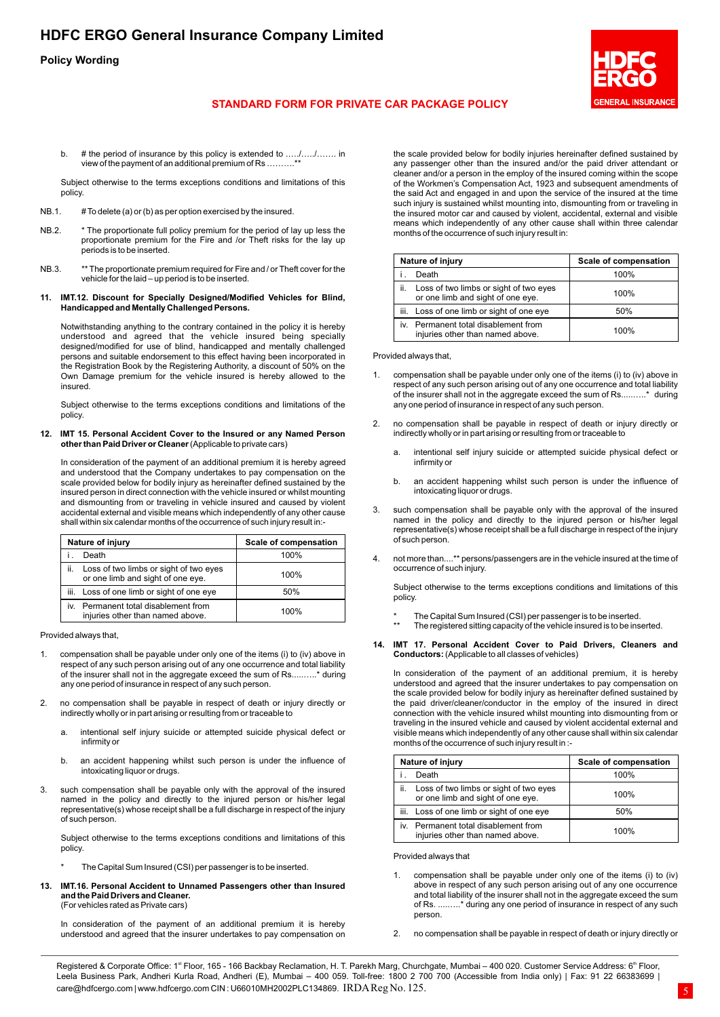**Policy Wording**



## **STANDARD FORM FOR PRIVATE CAR PACKAGE POLICY**

b. # the period of insurance by this policy is extended to .…./…../……. in view of the payment of an additional premium of  $Rs$  .........

Subject otherwise to the terms exceptions conditions and limitations of this policy.

- NB.1. # To delete (a) or (b) as per option exercised by the insured.
- NB.2. \* The proportionate full policy premium for the period of lay up less the proportionate premium for the Fire and /or Theft risks for the lay up periods is to be inserted.
- NB.3. \*\* The proportionate premium required for Fire and / or Theft cover for the vehicle for the laid – up period is to be inserted.

#### **11. IMT.12. Discount for Specially Designed/Modified Vehicles for Blind, Handicapped and Mentally Challenged Persons.**

Notwithstanding anything to the contrary contained in the policy it is hereby understood and agreed that the vehicle insured being specially designed/modified for use of blind, handicapped and mentally challenged persons and suitable endorsement to this effect having been incorporated in the Registration Book by the Registering Authority, a discount of 50% on the Own Damage premium for the vehicle insured is hereby allowed to the insured.

Subject otherwise to the terms exceptions conditions and limitations of the policy.

#### **12. IMT 15. Personal Accident Cover to the Insured or any Named Person other than Paid Driver or Cleaner** (Applicable to private cars)

In consideration of the payment of an additional premium it is hereby agreed and understood that the Company undertakes to pay compensation on the scale provided below for bodily injury as hereinafter defined sustained by the insured person in direct connection with the vehicle insured or whilst mounting and dismounting from or traveling in vehicle insured and caused by violent accidental external and visible means which independently of any other cause shall within six calendar months of the occurrence of such injury result in:-

| Nature of injury                                                                   | Scale of compensation |
|------------------------------------------------------------------------------------|-----------------------|
| Death                                                                              | 100%                  |
| ii.<br>Loss of two limbs or sight of two eyes<br>or one limb and sight of one eye. | 100%                  |
| iii. Loss of one limb or sight of one eye                                          | 50%                   |
| iv. Permanent total disablement from<br>injuries other than named above.           | 100%                  |

Provided always that,

- 1. compensation shall be payable under only one of the items (i) to (iv) above in respect of any such person arising out of any one occurrence and total liability of the insurer shall not in the aggregate exceed the sum of Rs.....…..\* during any one period of insurance in respect of any such person.
- 2. no compensation shall be payable in respect of death or injury directly or indirectly wholly or in part arising or resulting from or traceable to
	- a. intentional self injury suicide or attempted suicide physical defect or infirmity or
	- b. an accident happening whilst such person is under the influence of intoxicating liquor or drugs.
- 3. such compensation shall be payable only with the approval of the insured named in the policy and directly to the injured person or his/her legal representative(s) whose receipt shall be a full discharge in respect of the injury of such person.

Subject otherwise to the terms exceptions conditions and limitations of this policy.

The Capital Sum Insured (CSI) per passenger is to be inserted.

#### **13. IMT.16. Personal Accident to Unnamed Passengers other than Insured and the Paid Drivers and Cleaner.** (For vehicles rated as Private cars)

In consideration of the payment of an additional premium it is hereby understood and agreed that the insurer undertakes to pay compensation on the scale provided below for bodily injuries hereinafter defined sustained by any passenger other than the insured and/or the paid driver attendant or cleaner and/or a person in the employ of the insured coming within the scope of the Workmen's Compensation Act, 1923 and subsequent amendments of the said Act and engaged in and upon the service of the insured at the time such injury is sustained whilst mounting into, dismounting from or traveling in the insured motor car and caused by violent, accidental, external and visible means which independently of any other cause shall within three calendar months of the occurrence of such injury result in:

| Nature of injury                                                                   | Scale of compensation |
|------------------------------------------------------------------------------------|-----------------------|
| Death                                                                              | 100%                  |
| ii.<br>Loss of two limbs or sight of two eyes<br>or one limb and sight of one eye. | 100%                  |
| iii. Loss of one limb or sight of one eye                                          | 50%                   |
| Permanent total disablement from<br>iv.<br>injuries other than named above.        | 100%                  |

Provided always that,

- 1. compensation shall be payable under only one of the items (i) to (iv) above in respect of any such person arising out of any one occurrence and total liability of the insurer shall not in the aggregate exceed the sum of Rs.....…..\* during any one period of insurance in respect of any such person.
- 2. no compensation shall be payable in respect of death or injury directly or indirectly wholly or in part arising or resulting from or traceable to
	- a. intentional self injury suicide or attempted suicide physical defect or infirmity or
	- b. an accident happening whilst such person is under the influence of intoxicating liquor or drugs.
- 3. such compensation shall be payable only with the approval of the insured named in the policy and directly to the injured person or his/her legal representative(s) whose receipt shall be a full discharge in respect of the injury of such person.
- 4. not more than....\*\* persons/passengers are in the vehicle insured at the time of occurrence of such injury.

Subject otherwise to the terms exceptions conditions and limitations of this policy.

- \* The Capital Sum Insured (CSI) per passenger is to be inserted.
- The registered sitting capacity of the vehicle insured is to be inserted.
- **14. IMT 17. Personal Accident Cover to Paid Drivers, Cleaners and Conductors:** (Applicable to all classes of vehicles)

In consideration of the payment of an additional premium, it is hereby understood and agreed that the insurer undertakes to pay compensation on the scale provided below for bodily injury as hereinafter defined sustained by the paid driver/cleaner/conductor in the employ of the insured in direct connection with the vehicle insured whilst mounting into dismounting from or traveling in the insured vehicle and caused by violent accidental external and visible means which independently of any other cause shall within six calendar months of the occurrence of such injury result in :-

|      | Nature of injury                                                            | Scale of compensation |
|------|-----------------------------------------------------------------------------|-----------------------|
|      | Death                                                                       | 100%                  |
| ii.  | Loss of two limbs or sight of two eyes<br>or one limb and sight of one eye. | 100%                  |
| iii. | Loss of one limb or sight of one eye                                        | 50%                   |
|      | iv. Permanent total disablement from<br>injuries other than named above.    | 100%                  |

Provided always that

- 1. compensation shall be payable under only one of the items (i) to (iv) above in respect of any such person arising out of any one occurrence and total liability of the insurer shall not in the aggregate exceed the sum of Rs. .........\* during any one period of insurance in respect of any such ....\* during any one period of insurance in respect of any such person.
- 2. no compensation shall be payable in respect of death or injury directly or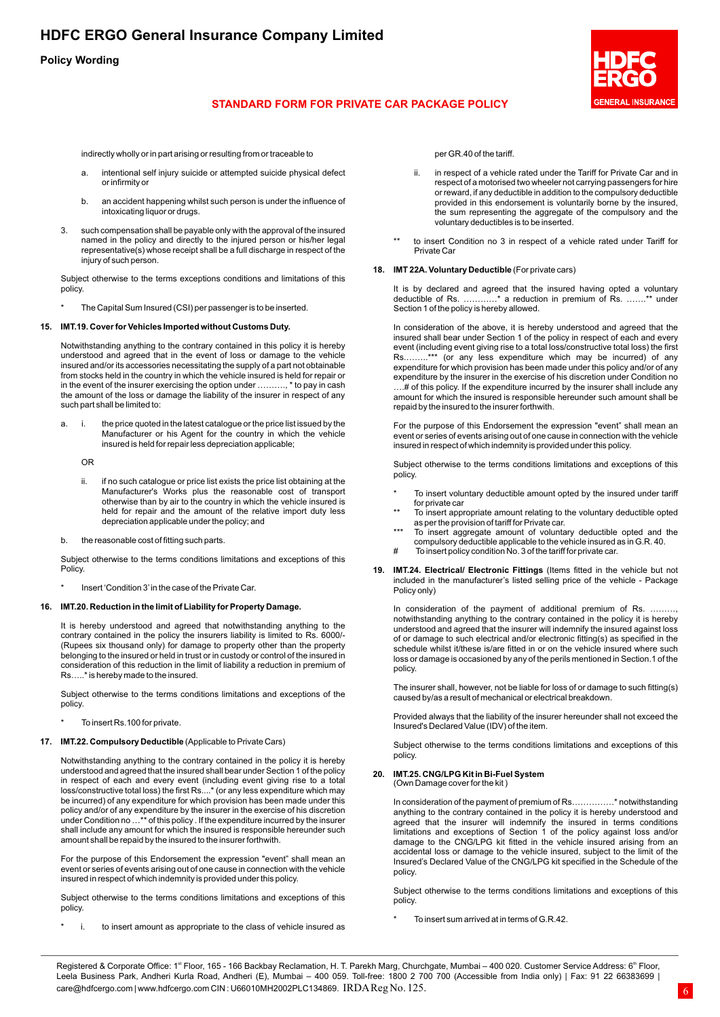**Policy Wording**

# **ENERAL INSURANCE**

## **STANDARD FORM FOR PRIVATE CAR PACKAGE POLICY**

indirectly wholly or in part arising or resulting from or traceable to

- a. intentional self injury suicide or attempted suicide physical defect or infirmity or
- b. an accident happening whilst such person is under the influence of intoxicating liquor or drugs.
- 3. such compensation shall be payable only with the approval of the insured named in the policy and directly to the injured person or his/her legal representative(s) whose receipt shall be a full discharge in respect of the injury of such person.

Subject otherwise to the terms exceptions conditions and limitations of this policy.

The Capital Sum Insured (CSI) per passenger is to be inserted.

## **15. IMT.19. Cover for Vehicles Imported without Customs Duty.**

Notwithstanding anything to the contrary contained in this policy it is hereby understood and agreed that in the event of loss or damage to the vehicle insured and/or its accessories necessitating the supply of a part not obtainable from stocks held in the country in which the vehicle insured is held for repair or in the event of the insurer exercising the option under ………., \* to pay in cash the amount of the loss or damage the liability of the insurer in respect of any such part shall be limited to:

a. i. the price quoted in the latest catalogue or the price list issued by the Manufacturer or his Agent for the country in which the vehicle insured is held for repair less depreciation applicable;

OR

- ii. if no such catalogue or price list exists the price list obtaining at the Manufacturer's Works plus the reasonable cost of transport otherwise than by air to the country in which the vehicle insured is held for repair and the amount of the relative import duty less depreciation applicable under the policy; and
- b. the reasonable cost of fitting such parts.

Subject otherwise to the terms conditions limitations and exceptions of this Policy.

Insert 'Condition 3' in the case of the Private Car.

## **16. IMT.20. Reduction in the limit of Liability for Property Damage.**

It is hereby understood and agreed that notwithstanding anything to the contrary contained in the policy the insurers liability is limited to Rs. 6000/- (Rupees six thousand only) for damage to property other than the property belonging to the insured or held in trust or in custody or control of the insured in consideration of this reduction in the limit of liability a reduction in premium of Rs…..\* is hereby made to the insured.

Subject otherwise to the terms conditions limitations and exceptions of the policy.

- To insert Rs.100 for private.
- **17. IMT.22. Compulsory Deductible** (Applicable to Private Cars)

Notwithstanding anything to the contrary contained in the policy it is hereby understood and agreed that the insured shall bear under Section 1 of the policy in respect of each and every event (including event giving rise to a total loss/constructive total loss) the first Rs....\* (or any less expenditure which may be incurred) of any expenditure for which provision has been made under this policy and/or of any expenditure by the insurer in the exercise of his discretion under Condition no …\*\* of this policy . If the expenditure incurred by the insurer shall include any amount for which the insured is responsible hereunder such amount shall be repaid by the insured to the insurer forthwith.

For the purpose of this Endorsement the expression "event" shall mean an event or series of events arising out of one cause in connection with the vehicle insured in respect of which indemnity is provided under this policy.

Subject otherwise to the terms conditions limitations and exceptions of this policy.

i. to insert amount as appropriate to the class of vehicle insured as

per GR.40 of the tariff.

- in respect of a vehicle rated under the Tariff for Private Car and in respect of a motorised two wheeler not carrying passengers for hire or reward, if any deductible in addition to the compulsory deductible provided in this endorsement is voluntarily borne by the insured, the sum representing the aggregate of the compulsory and the voluntary deductibles is to be inserted.
- \*\* to insert Condition no 3 in respect of a vehicle rated under Tariff for Private Car

## **18. IMT 22A. Voluntary Deductible** (For private cars)

It is by declared and agreed that the insured having opted a voluntary deductible of Rs. …………\* a reduction in premium of Rs. …….\*\* under Section 1 of the policy is hereby allowed.

In consideration of the above, it is hereby understood and agreed that the insured shall bear under Section 1 of the policy in respect of each and every event (including event giving rise to a total loss/constructive total loss) the first Rs.……..\*\*\* (or any less expenditure which may be incurred) of any expenditure for which provision has been made under this policy and/or of any expenditure by the insurer in the exercise of his discretion under Condition no .....# of this policy. If the expenditure incurred by the insurer shall include any amount for which the insured is responsible hereunder such amount shall be repaid by the insured to the insurer forthwith.

For the purpose of this Endorsement the expression "event" shall mean an event or series of events arising out of one cause in connection with the vehicle insured in respect of which indemnity is provided under this policy.

Subject otherwise to the terms conditions limitations and exceptions of this policy.

- \* To insert voluntary deductible amount opted by the insured under tariff for private car
- \*\* To insert appropriate amount relating to the voluntary deductible opted as per the provision of tariff for Private car.
- \*\*\* To insert aggregate amount of voluntary deductible opted and the compulsory deductible applicable to the vehicle insured as in G.R. 40.
- # To insert policy condition No. 3 of the tariff for private car.
- **19. IMT.24. Electrical/ Electronic Fittings** (Items fitted in the vehicle but not included in the manufacturer's listed selling price of the vehicle - Package Policy only)

In consideration of the payment of additional premium of Rs. notwithstanding anything to the contrary contained in the policy it is hereby understood and agreed that the insurer will indemnify the insured against loss of or damage to such electrical and/or electronic fitting(s) as specified in the schedule whilst it/these is/are fitted in or on the vehicle insured where such loss or damage is occasioned by any of the perils mentioned in Section.1 of the policy.

The insurer shall, however, not be liable for loss of or damage to such fitting(s) caused by/as a result of mechanical or electrical breakdown.

Provided always that the liability of the insurer hereunder shall not exceed the Insured's Declared Value (IDV) of the item.

Subject otherwise to the terms conditions limitations and exceptions of this policy.

#### **20. IMT.25. CNG/LPG Kit in Bi-Fuel System** (Own Damage cover for the kit )

In consideration of the payment of premium of Rs……………\* notwithstanding anything to the contrary contained in the policy it is hereby understood and agreed that the insurer will indemnify the insured in terms conditions limitations and exceptions of Section 1 of the policy against loss and/or damage to the CNG/LPG kit fitted in the vehicle insured arising from an accidental loss or damage to the vehicle insured, subject to the limit of the Insured's Declared Value of the CNG/LPG kit specified in the Schedule of the policy.

Subject otherwise to the terms conditions limitations and exceptions of this policy.

To insert sum arrived at in terms of G.R.42.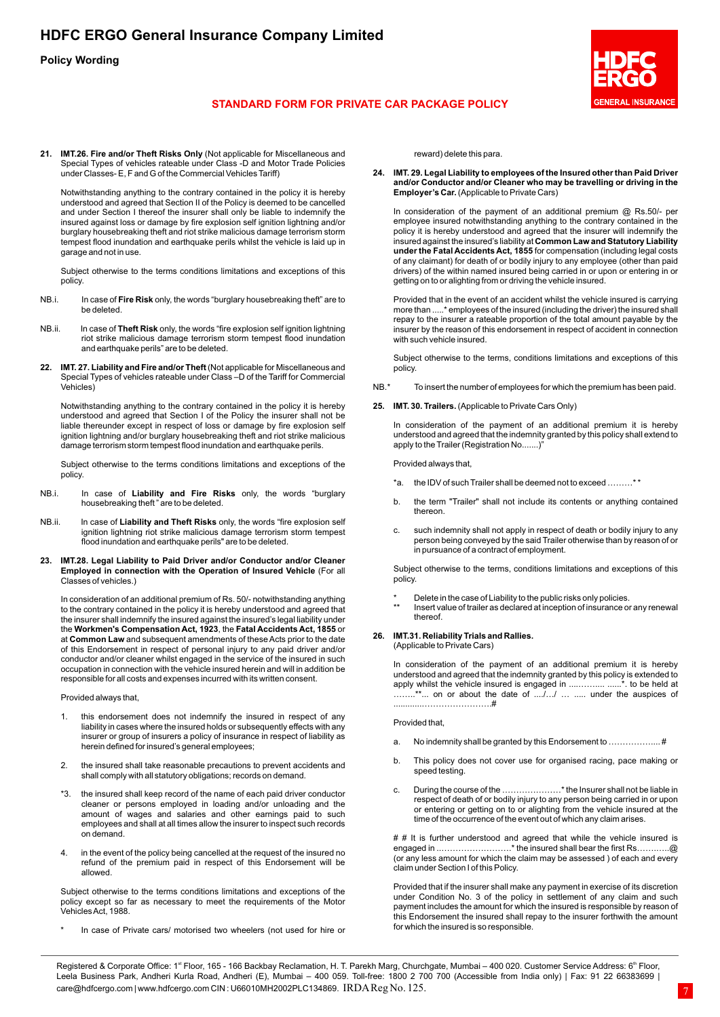**Policy Wording**



## **STANDARD FORM FOR PRIVATE CAR PACKAGE POLICY**

**21. IMT.26. Fire and/or Theft Risks Only** (Not applicable for Miscellaneous and Special Types of vehicles rateable under Class -D and Motor Trade Policies under Classes- E, F and G of the Commercial Vehicles Tariff)

Notwithstanding anything to the contrary contained in the policy it is hereby understood and agreed that Section II of the Policy is deemed to be cancelled and under Section I thereof the insurer shall only be liable to indemnify the insured against loss or damage by fire explosion self ignition lightning and/or burglary housebreaking theft and riot strike malicious damage terrorism storm tempest flood inundation and earthquake perils whilst the vehicle is laid up in garage and not in use.

Subject otherwise to the terms conditions limitations and exceptions of this policy.

- NB.i. In case of **Fire Risk** only, the words "burglary housebreaking theft" are to be deleted.
- NB.ii. In case of **Theft Risk** only, the words "fire explosion self ignition lightning riot strike malicious damage terrorism storm tempest flood inundation and earthquake perils" are to be deleted.
- **22. IMT. 27. Liability and Fire and/or Theft** (Not applicable for Miscellaneous and Special Types of vehicles rateable under Class –D of the Tariff for Commercial Vehicles)

Notwithstanding anything to the contrary contained in the policy it is hereby understood and agreed that Section I of the Policy the insurer shall not be liable thereunder except in respect of loss or damage by fire explosion self ignition lightning and/or burglary housebreaking theft and riot strike malicious damage terrorism storm tempest flood inundation and earthquake perils.

Subject otherwise to the terms conditions limitations and exceptions of the policy.

- NB.i. In case of **Liability and Fire Risks** only, the words "burglary housebreaking theft " are to be deleted.
- NB.ii. In case of **Liability and Theft Risks** only, the words "fire explosion self ignition lightning riot strike malicious damage terrorism storm tempest flood inundation and earthquake perils" are to be deleted.
- **23. IMT.28. Legal Liability to Paid Driver and/or Conductor and/or Cleaner Employed in connection with the Operation of Insured Vehicle** (For all Classes of vehicles.)

In consideration of an additional premium of Rs. 50/- notwithstanding anything to the contrary contained in the policy it is hereby understood and agreed that the insurer shall indemnify the insured against the insured's legal liability under the **Workmen's Compensation Act, 1923**, the **Fatal Accidents Act, 1855** or at **Common Law** and subsequent amendments of these Acts prior to the date of this Endorsement in respect of personal injury to any paid driver and/or conductor and/or cleaner whilst engaged in the service of the insured in such occupation in connection with the vehicle insured herein and will in addition be responsible for all costs and expenses incurred with its written consent.

Provided always that,

- 1. this endorsement does not indemnify the insured in respect of any liability in cases where the insured holds or subsequently effects with any insurer or group of insurers a policy of insurance in respect of liability as herein defined for insured's general employees;
- 2. the insured shall take reasonable precautions to prevent accidents and shall comply with all statutory obligations; records on demand.
- \*3. the insured shall keep record of the name of each paid driver conductor cleaner or persons employed in loading and/or unloading and the amount of wages and salaries and other earnings paid to such employees and shall at all times allow the insurer to inspect such records on demand.
- 4. in the event of the policy being cancelled at the request of the insured no refund of the premium paid in respect of this Endorsement will be allowed.

Subject otherwise to the terms conditions limitations and exceptions of the policy except so far as necessary to meet the requirements of the Motor Vehicles Act, 1988.

In case of Private cars/ motorised two wheelers (not used for hire or

reward) delete this para.

**24. IMT. 29. Legal Liability to employees of the Insured other than Paid Driver and/or Conductor and/or Cleaner who may be travelling or driving in the Employer's Car.** (Applicable to Private Cars)

In consideration of the payment of an additional premium @ Rs.50/- per employee insured notwithstanding anything to the contrary contained in the policy it is hereby understood and agreed that the insurer will indemnify the insured against the insured's liability at **Common Law and Statutory Liability under the Fatal Accidents Act, 1855** for compensation (including legal costs of any claimant) for death of or bodily injury to any employee (other than paid drivers) of the within named insured being carried in or upon or entering in or getting on to or alighting from or driving the vehicle insured.

Provided that in the event of an accident whilst the vehicle insured is carrying more than .....\* employees of the insured (including the driver) the insured shall repay to the insurer a rateable proportion of the total amount payable by the insurer by the reason of this endorsement in respect of accident in connection with such vehicle insured.

Subject otherwise to the terms, conditions limitations and exceptions of this policy.

- NB.\* To insert the number of employees for which the premium has been paid.
- **25. IMT. 30. Trailers.** (Applicable to Private Cars Only)

In consideration of the payment of an additional premium it is hereby understood and agreed that the indemnity granted by this policy shall extend to apply to the Trailer (Registration No.......)"

Provided always that,

- \*a. the IDV of such Trailer shall be deemed not to exceed ………\* \*
- b. the term "Trailer" shall not include its contents or anything contained thereon.
- c. such indemnity shall not apply in respect of death or bodily injury to any person being conveyed by the said Trailer otherwise than by reason of or in pursuance of a contract of employment.

Subject otherwise to the terms, conditions limitations and exceptions of this policy.

- \* Delete in the case of Liability to the public risks only policies.
- Insert value of trailer as declared at inception of insurance or any renewal thereof.

#### **26. IMT.31. Reliability Trials and Rallies.** (Applicable to Private Cars)

In consideration of the payment of an additional premium it is hereby understood and agreed that the indemnity granted by this policy is extended to apply whilst the vehicle insured is engaged in ....…….... ......\*. to be held at  $\ldots$  .......\*\*... on or about the date of  $\ldots$  .... .... under the auspices of ............…………………….#

Provided that,

- a. No indemnity shall be granted by this Endorsement to …………….... #
- b. This policy does not cover use for organised racing, pace making or speed testing.
- c. During the course of the …………………\* the Insurer shall not be liable in respect of death of or bodily injury to any person being carried in or upon or entering or getting on to or alighting from the vehicle insured at the time of the occurrence of the event out of which any claim arises.

# # It is further understood and agreed that while the vehicle insured is engaged in ..…………………….\* the insured shall bear the first Rs…….…..@ (or any less amount for which the claim may be assessed ) of each and every claim under Section I of this Policy.

Provided that if the insurer shall make any payment in exercise of its discretion under Condition No. 3 of the policy in settlement of any claim and such payment includes the amount for which the insured is responsible by reason of this Endorsement the insured shall repay to the insurer forthwith the amount for which the insured is so responsible.